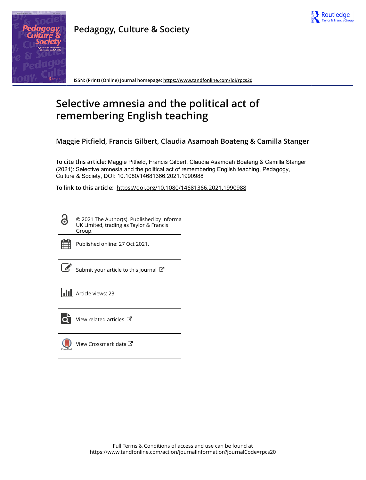

**Pedagogy, Culture & Society**

**ISSN: (Print) (Online) Journal homepage:<https://www.tandfonline.com/loi/rpcs20>**

# **Selective amnesia and the political act of remembering English teaching**

**Maggie Pitfield, Francis Gilbert, Claudia Asamoah Boateng & Camilla Stanger**

**To cite this article:** Maggie Pitfield, Francis Gilbert, Claudia Asamoah Boateng & Camilla Stanger (2021): Selective amnesia and the political act of remembering English teaching, Pedagogy, Culture & Society, DOI: [10.1080/14681366.2021.1990988](https://www.tandfonline.com/action/showCitFormats?doi=10.1080/14681366.2021.1990988)

**To link to this article:** <https://doi.org/10.1080/14681366.2021.1990988>

© 2021 The Author(s). Published by Informa UK Limited, trading as Taylor & Francis Group.



ര

Published online: 27 Oct 2021.

[Submit your article to this journal](https://www.tandfonline.com/action/authorSubmission?journalCode=rpcs20&show=instructions)  $\mathbb{Z}$ 

**III** Article views: 23



 $\overline{Q}$  [View related articles](https://www.tandfonline.com/doi/mlt/10.1080/14681366.2021.1990988)  $\overline{C}$ 

[View Crossmark data](http://crossmark.crossref.org/dialog/?doi=10.1080/14681366.2021.1990988&domain=pdf&date_stamp=2021-10-27) $\mathbb{Z}$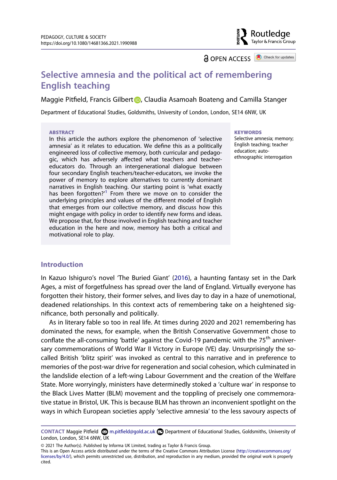

**a** OPEN ACCESS **a** Check for updates

# **Selective amnesia and the political act of remembering English teaching**

Maggie Pi[t](http://orcid.org/0000-0002-8975-5391)field, Francis Gilbert D, Claudia Asamoah Boateng and Camilla Stanger

Department of Educational Studies, Goldsmiths, University of London, London, SE14 6NW, UK

#### **ABSTRACT**

In this article the authors explore the phenomenon of 'selective amnesia' as it relates to education. We define this as a politically engineered loss of collective memory, both curricular and pedagogic, which has adversely affected what teachers and teachereducators do. Through an intergenerational dialogue between four secondary English teachers/teacher-educators, we invoke the power of memory to explore alternatives to currently dominant narratives in English teaching. Our starting point is 'what exactly has been forgotten?<sup>[1](#page-16-0)</sup> From there we move on to consider the underlying principles and values of the different model of English that emerges from our collective memory, and discuss how this might engage with policy in order to identify new forms and ideas. We propose that, for those involved in English teaching and teacher education in the here and now, memory has both a critical and motivational role to play.

#### **KEYWORDS**

Selective amnesia; memory; English teaching; teacher education; autoethnographic interrogation

#### **Introduction**

<span id="page-1-0"></span>In Kazuo Ishiguro's novel 'The Buried Giant' [\(2016\)](#page-18-0), a haunting fantasy set in the Dark Ages, a mist of forgetfulness has spread over the land of England. Virtually everyone has forgotten their history, their former selves, and lives day to day in a haze of unemotional, deadened relationships. In this context acts of remembering take on a heightened significance, both personally and politically.

As in literary fable so too in real life. At times during 2020 and 2021 remembering has dominated the news, for example, when the British Conservative Government chose to conflate the all-consuming 'battle' against the Covid-19 pandemic with the  $75<sup>th</sup>$  anniversary commemorations of World War II Victory in Europe (VE) day. Unsurprisingly the socalled British 'blitz spirit' was invoked as central to this narrative and in preference to memories of the post-war drive for regeneration and social cohesion, which culminated in the landslide election of a left-wing Labour Government and the creation of the Welfare State. More worryingly, ministers have determinedly stoked a 'culture war' in response to the Black Lives Matter (BLM) movement and the toppling of precisely one commemorative statue in Bristol, UK. This is because BLM has thrown an inconvenient spotlight on the ways in which European societies apply 'selective amnesia' to the less savoury aspects of

This is an Open Access article distributed under the terms of the Creative Commons Attribution License (http://creativecommons.org/ licenses/by/4.0/), which permits unrestricted use, distribution, and reproduction in any medium, provided the original work is properly cited.

**CONTACT** Maggie Pitfield m.pitfield@gold.ac.uk Department of Educational Studies, Goldsmiths, University of London, London, SE14 6NW, UK

<sup>© 2021</sup> The Author(s). Published by Informa UK Limited, trading as Taylor & Francis Group.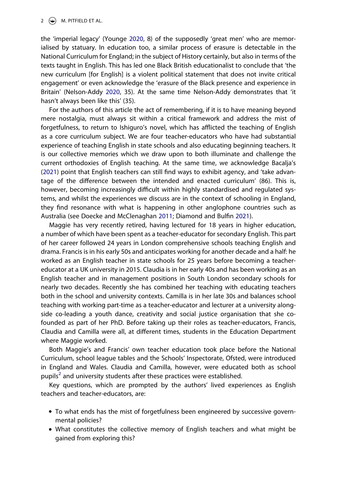#### 2  $\left(\rightarrow\right)$  M. PITFIELD ET AL.

<span id="page-2-3"></span>the 'imperial legacy' (Younge [2020,](#page-19-0) 8) of the supposedly 'great men' who are memorialised by statuary. In education too, a similar process of erasure is detectable in the National Curriculum for England; in the subject of History certainly, but also in terms of the texts taught in English. This has led one Black British educationalist to conclude that 'the new curriculum [for English] is a violent political statement that does not invite critical engagement' or even acknowledge the 'erasure of the Black presence and experience in Britain' (Nelson-Addy [2020](#page-19-1), 35). At the same time Nelson-Addy demonstrates that 'it hasn't always been like this' (35).

<span id="page-2-2"></span>For the authors of this article the act of remembering, if it is to have meaning beyond mere nostalgia, must always sit within a critical framework and address the mist of forgetfulness, to return to Ishiguro's novel, which has afflicted the teaching of English as a core curriculum subject. We are four teacher-educators who have had substantial experience of teaching English in state schools and also educating beginning teachers. It is our collective memories which we draw upon to both illuminate and challenge the current orthodoxies of English teaching. At the same time, we acknowledge Bacalja's ([2021](#page-17-0)) point that English teachers can still find ways to exhibit agency, and 'take advantage of the difference between the intended and enacted curriculum' (86). This is, however, becoming increasingly difficult within highly standardised and regulated systems, and whilst the experiences we discuss are in the context of schooling in England, they find resonance with what is happening in other anglophone countries such as Australia (see Doecke and McClenaghan [2011;](#page-17-1) Diamond and Bulfin [2021](#page-17-2)).

<span id="page-2-1"></span><span id="page-2-0"></span>Maggie has very recently retired, having lectured for 18 years in higher education, a number of which have been spent as a teacher-educator for secondary English. This part of her career followed 24 years in London comprehensive schools teaching English and drama. Francis is in his early 50s and anticipates working for another decade and a half: he worked as an English teacher in state schools for 25 years before becoming a teachereducator at a UK university in 2015. Claudia is in her early 40s and has been working as an English teacher and in management positions in South London secondary schools for nearly two decades. Recently she has combined her teaching with educating teachers both in the school and university contexts. Camilla is in her late 30s and balances school teaching with working part-time as a teacher-educator and lecturer at a university alongside co-leading a youth dance, creativity and social justice organisation that she cofounded as part of her PhD. Before taking up their roles as teacher-educators, Francis, Claudia and Camilla were all, at different times, students in the Education Department where Maggie worked.

Both Maggie's and Francis' own teacher education took place before the National Curriculum, school league tables and the Schools' Inspectorate, Ofsted, were introduced in England and Wales. Claudia and Camilla, however, were educated both as school pupils<sup>[2](#page-16-1)</sup> and university students after these practices were established.

Key questions, which are prompted by the authors' lived experiences as English teachers and teacher-educators, are:

- To what ends has the mist of forgetfulness been engineered by successive governmental policies?
- What constitutes the collective memory of English teachers and what might be gained from exploring this?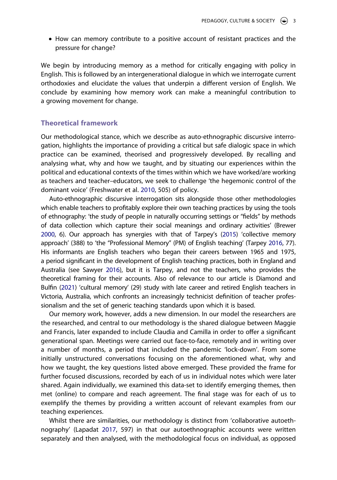● How can memory contribute to a positive account of resistant practices and the pressure for change?

We begin by introducing memory as a method for critically engaging with policy in English. This is followed by an intergenerational dialogue in which we interrogate current orthodoxies and elucidate the values that underpin a different version of English. We conclude by examining how memory work can make a meaningful contribution to a growing movement for change.

### **Theoretical framework**

Our methodological stance, which we describe as auto-ethnographic discursive interrogation, highlights the importance of providing a critical but safe dialogic space in which practice can be examined, theorised and progressively developed. By recalling and analysing what, why and how we taught, and by situating our experiences within the political and educational contexts of the times within which we have worked/are working as teachers and teacher–educators, we seek to challenge 'the hegemonic control of the dominant voice' (Freshwater et al. [2010,](#page-18-1) 505) of policy.

<span id="page-3-5"></span><span id="page-3-4"></span><span id="page-3-1"></span><span id="page-3-0"></span>Auto-ethnographic discursive interrogation sits alongside those other methodologies which enable teachers to profitably explore their own teaching practices by using the tools of ethnography: 'the study of people in naturally occurring settings or "fields" by methods of data collection which capture their social meanings and ordinary activities' (Brewer [2000](#page-17-3), 6). Our approach has synergies with that of Tarpey's ([2015\)](#page-19-2) 'collective memory approach' (388) to 'the "Professional Memory" (PM) of English teaching' (Tarpey [2016](#page-19-3), 77). His informants are English teachers who began their careers between 1965 and 1975, a period significant in the development of English teaching practices, both in England and Australia (see Sawyer [2016](#page-19-4)), but it is Tarpey, and not the teachers, who provides the theoretical framing for their accounts. Also of relevance to our article is Diamond and Bulfin ([2021\)](#page-17-2) 'cultural memory' (29) study with late career and retired English teachers in Victoria, Australia, which confronts an increasingly technicist definition of teacher professionalism and the set of generic teaching standards upon which it is based.

<span id="page-3-3"></span>Our memory work, however, adds a new dimension. In our model the researchers are the researched, and central to our methodology is the shared dialogue between Maggie and Francis, later expanded to include Claudia and Camilla in order to offer a significant generational span. Meetings were carried out face-to-face, remotely and in writing over a number of months, a period that included the pandemic 'lock-down'. From some initially unstructured conversations focusing on the aforementioned what, why and how we taught, the key questions listed above emerged. These provided the frame for further focused discussions, recorded by each of us in individual notes which were later shared. Again individually, we examined this data-set to identify emerging themes, then met (online) to compare and reach agreement. The final stage was for each of us to exemplify the themes by providing a written account of relevant examples from our teaching experiences.

<span id="page-3-2"></span>Whilst there are similarities, our methodology is distinct from 'collaborative autoethnography' (Lapadat [2017,](#page-18-2) 597) in that our autoethnographic accounts were written separately and then analysed, with the methodological focus on individual, as opposed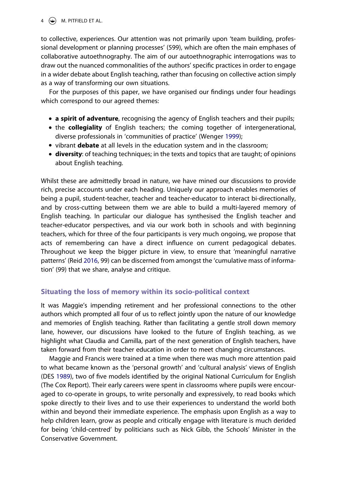## $4 \quad \circledast$  M. PITFIELD ET AL.

to collective, experiences. Our attention was not primarily upon 'team building, professional development or planning processes' (599), which are often the main emphases of collaborative autoethnography. The aim of our autoethnographic interrogations was to draw out the nuanced commonalities of the authors' specific practices in order to engage in a wider debate about English teaching, rather than focusing on collective action simply as a way of transforming our own situations.

For the purposes of this paper, we have organised our findings under four headings which correspond to our agreed themes:

- **a spirit of adventure**, recognising the agency of English teachers and their pupils;
- <span id="page-4-2"></span>● the **collegiality** of English teachers; the coming together of intergenerational, diverse professionals in 'communities of practice' (Wenger [1999](#page-19-5));
- vibrant **debate** at all levels in the education system and in the classroom;
- **diversity**: of teaching techniques; in the texts and topics that are taught; of opinions about English teaching.

Whilst these are admittedly broad in nature, we have mined our discussions to provide rich, precise accounts under each heading. Uniquely our approach enables memories of being a pupil, student-teacher, teacher and teacher-educator to interact bi-directionally, and by cross-cutting between them we are able to build a multi-layered memory of English teaching. In particular our dialogue has synthesised the English teacher and teacher-educator perspectives, and via our work both in schools and with beginning teachers, which for three of the four participants is very much ongoing, we propose that acts of remembering can have a direct influence on current pedagogical debates. Throughout we keep the bigger picture in view, to ensure that 'meaningful narrative patterns' (Reid [2016](#page-19-6), 99) can be discerned from amongst the 'cumulative mass of information' (99) that we share, analyse and critique.

# <span id="page-4-1"></span>**Situating the loss of memory within its socio-political context**

It was Maggie's impending retirement and her professional connections to the other authors which prompted all four of us to reflect jointly upon the nature of our knowledge and memories of English teaching. Rather than facilitating a gentle stroll down memory lane, however, our discussions have looked to the future of English teaching, as we highlight what Claudia and Camilla, part of the next generation of English teachers, have taken forward from their teacher education in order to meet changing circumstances.

<span id="page-4-0"></span>Maggie and Francis were trained at a time when there was much more attention paid to what became known as the 'personal growth' and 'cultural analysis' views of English (DES [1989\)](#page-17-4), two of five models identified by the original National Curriculum for English (The Cox Report). Their early careers were spent in classrooms where pupils were encouraged to co-operate in groups, to write personally and expressively, to read books which spoke directly to their lives and to use their experiences to understand the world both within and beyond their immediate experience. The emphasis upon English as a way to help children learn, grow as people and critically engage with literature is much derided for being 'child-centred' by politicians such as Nick Gibb, the Schools' Minister in the Conservative Government.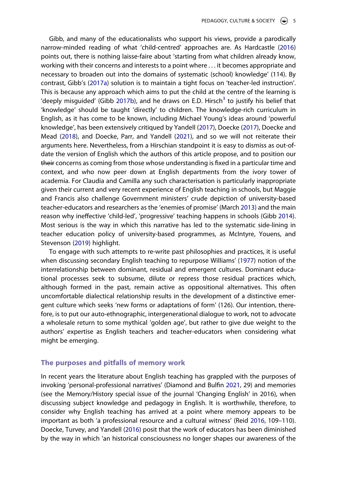<span id="page-5-6"></span><span id="page-5-5"></span><span id="page-5-4"></span><span id="page-5-1"></span><span id="page-5-0"></span>Gibb, and many of the educationalists who support his views, provide a parodically narrow-minded reading of what 'child-centred' approaches are. As Hardcastle ([2016](#page-18-3)) points out, there is nothing laisse-faire about 'starting from what children already know, working with their concerns and interests to a point where . . . it becomes appropriate and necessary to broaden out into the domains of systematic (school) knowledge' (114). By contrast, Gibb's [\(2017a\)](#page-18-4) solution is to maintain a tight focus on 'teacher-led instruction'. This is because any approach which aims to put the child at the centre of the learning is 'deeply misquided' (Gibb [2017b](#page-18-5)), and he draws on E.D. Hirsch<sup>3</sup> to justify his belief that 'knowledge' should be taught 'directly' to children. The knowledge-rich curriculum in English, as it has come to be known, including Michael Young's ideas around 'powerful knowledge', has been extensively critiqued by Yandell [\(2017\)](#page-19-7), Doecke ([2017](#page-17-5)), Doecke and Mead [\(2018\)](#page-17-6), and Doecke, Parr, and Yandell [\(2021\)](#page-17-7), and so we will not reiterate their arguments here. Nevertheless, from a Hirschian standpoint it is easy to dismiss as out-ofdate the version of English which the authors of this article propose, and to position our their concerns as coming from those whose understanding is fixed in a particular time and context, and who now peer down at English departments from the ivory tower of academia. For Claudia and Camilla any such characterisation is particularly inappropriate given their current and very recent experience of English teaching in schools, but Maggie and Francis also challenge Government ministers' crude depiction of university-based teacher-educators and researchers as the 'enemies of promise' (March [2013\)](#page-18-6) and the main reason why ineffective 'child-led', 'progressive' teaching happens in schools (Gibb [2014](#page-18-7)). Most serious is the way in which this narrative has led to the systematic side-lining in teacher education policy of university-based programmes, as McIntyre, Youens, and Stevenson [\(2019\)](#page-19-8) highlight.

<span id="page-5-9"></span><span id="page-5-8"></span><span id="page-5-7"></span><span id="page-5-3"></span>To engage with such attempts to re-write past philosophies and practices, it is useful when discussing secondary English teaching to repurpose Williams' [\(1977\)](#page-19-9) notion of the interrelationship between dominant, residual and emergent cultures. Dominant educational processes seek to subsume, dilute or repress those residual practices which, although formed in the past, remain active as oppositional alternatives. This often uncomfortable dialectical relationship results in the development of a distinctive emergent culture which seeks 'new forms or adaptations of form' (126). Our intention, therefore, is to put our auto-ethnographic, intergenerational dialogue to work, not to advocate a wholesale return to some mythical 'golden age', but rather to give due weight to the authors' expertise as English teachers and teacher-educators when considering what might be emerging.

#### **The purposes and pitfalls of memory work**

<span id="page-5-2"></span>In recent years the literature about English teaching has grappled with the purposes of invoking 'personal-professional narratives' (Diamond and Bulfin [2021](#page-17-2), 29) and memories (see the Memory/History special issue of the journal 'Changing English' in 2016), when discussing subject knowledge and pedagogy in English. It is worthwhile, therefore, to consider why English teaching has arrived at a point where memory appears to be important as both 'a professional resource and a cultural witness' (Reid [2016](#page-19-6), 109–110). Doecke, Turvey, and Yandell [\(2016\)](#page-17-8) posit that the work of educators has been diminished by the way in which 'an historical consciousness no longer shapes our awareness of the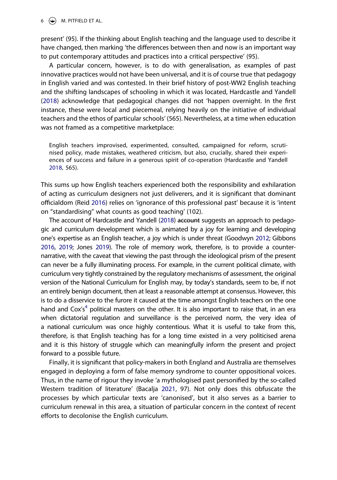$6 \quad \Leftrightarrow \quad M.$  PITFIELD ET AL.

present' (95). If the thinking about English teaching and the language used to describe it have changed, then marking 'the differences between then and now is an important way to put contemporary attitudes and practices into a critical perspective' (95).

A particular concern, however, is to do with generalisation, as examples of past innovative practices would not have been universal, and it is of course true that pedagogy in English varied and was contested. In their brief history of post-WW2 English teaching and the shifting landscapes of schooling in which it was located, Hardcastle and Yandell ([2018](#page-18-8)) acknowledge that pedagogical changes did not 'happen overnight. In the first instance, these were local and piecemeal, relying heavily on the initiative of individual teachers and the ethos of particular schools' (565). Nevertheless, at a time when education was not framed as a competitive marketplace:

English teachers improvised, experimented, consulted, campaigned for reform, scrutinised policy, made mistakes, weathered criticism, but also, crucially, shared their experiences of success and failure in a generous spirit of co-operation (Hardcastle and Yandell [2018,](#page-18-8) 565).

This sums up how English teachers experienced both the responsibility and exhilaration of acting as curriculum designers not just deliverers, and it is significant that dominant officialdom (Reid [2016](#page-19-6)) relies on 'ignorance of this professional past' because it is 'intent on "standardising" what counts as good teaching' (102).

<span id="page-6-2"></span><span id="page-6-1"></span><span id="page-6-0"></span>The account of Hardcastle and Yandell ([2018\)](#page-18-8) account suggests an approach to pedagogic and curriculum development which is animated by a joy for learning and developing one's expertise as an English teacher, a joy which is under threat (Goodwyn [2012](#page-18-9); Gibbons [2016,](#page-18-10) [2019](#page-18-11); Jones [2019\)](#page-18-12). The role of memory work, therefore, is to provide a counternarrative, with the caveat that viewing the past through the ideological prism of the present can never be a fully illuminating process. For example, in the current political climate, with curriculum very tightly constrained by the regulatory mechanisms of assessment, the original version of the National Curriculum for English may, by today's standards, seem to be, if not an entirely benign document, then at least a reasonable attempt at consensus. However, this is to do a disservice to the furore it caused at the time amongst English teachers on the one hand and Cox's<sup>4</sup> political masters on the other. It is also important to raise that, in an era when dictatorial regulation and surveillance is the perceived norm, the very idea of a national curriculum was once highly contentious. What it is useful to take from this, therefore, is that English teaching has for a long time existed in a very politicised arena and it is this history of struggle which can meaningfully inform the present and project forward to a possible future.

Finally, it is significant that policy-makers in both England and Australia are themselves engaged in deploying a form of false memory syndrome to counter oppositional voices. Thus, in the name of rigour they invoke 'a mythologised past personified by the so-called Western tradition of literature' (Bacalja [2021,](#page-17-0) 97). Not only does this obfuscate the processes by which particular texts are 'canonised', but it also serves as a barrier to curriculum renewal in this area, a situation of particular concern in the context of recent efforts to decolonise the English curriculum.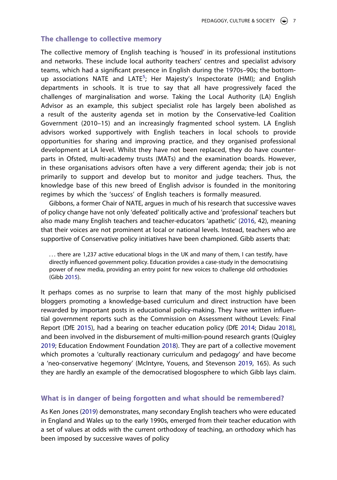#### **The challenge to collective memory**

The collective memory of English teaching is 'housed' in its professional institutions and networks. These include local authority teachers' centres and specialist advisory teams, which had a significant presence in English during the 1970s–90s; the bottom-up associations NATE and LATE<sup>[5](#page-16-4)</sup>; Her Majesty's Inspectorate (HMI); and English departments in schools. It is true to say that all have progressively faced the challenges of marginalisation and worse. Taking the Local Authority (LA) English Advisor as an example, this subject specialist role has largely been abolished as a result of the austerity agenda set in motion by the Conservative-led Coalition Government (2010–15) and an increasingly fragmented school system. LA English advisors worked supportively with English teachers in local schools to provide opportunities for sharing and improving practice, and they organised professional development at LA level. Whilst they have not been replaced, they do have counterparts in Ofsted, multi-academy trusts (MATs) and the examination boards. However, in these organisations advisors often have a very different agenda; their job is not primarily to support and develop but to monitor and judge teachers. Thus, the knowledge base of this new breed of English advisor is founded in the monitoring regimes by which the 'success' of English teachers is formally measured.

Gibbons, a former Chair of NATE, argues in much of his research that successive waves of policy change have not only 'defeated' politically active and 'professional' teachers but also made many English teachers and teacher-educators 'apathetic' [\(2016,](#page-18-10) 42), meaning that their voices are not prominent at local or national levels. Instead, teachers who are supportive of Conservative policy initiatives have been championed. Gibb asserts that:

. . . there are 1,237 active educational blogs in the UK and many of them, I can testify, have directly influenced government policy. Education provides a case-study in the democratising power of new media, providing an entry point for new voices to challenge old orthodoxies (Gibb [2015\)](#page-18-13).

<span id="page-7-3"></span><span id="page-7-2"></span><span id="page-7-1"></span><span id="page-7-0"></span>It perhaps comes as no surprise to learn that many of the most highly publicised bloggers promoting a knowledge-based curriculum and direct instruction have been rewarded by important posts in educational policy-making. They have written influential government reports such as the Commission on Assessment without Levels: Final Report (DfE [2015\)](#page-17-9), had a bearing on teacher education policy (DfE [2014](#page-17-10); Didau [2018](#page-17-11)), and been involved in the disbursement of multi-million-pound research grants (Quigley [2019;](#page-19-10) Education Endowment Foundation [2018\)](#page-18-14). They are part of a collective movement which promotes a 'culturally reactionary curriculum and pedagogy' and have become a 'neo-conservative hegemony' (McIntyre, Youens, and Stevenson [2019,](#page-19-8) 165). As such they are hardly an example of the democratised blogosphere to which Gibb lays claim.

#### **What is in danger of being forgotten and what should be remembered?**

As Ken Jones ([2019](#page-18-12)) demonstrates, many secondary English teachers who were educated in England and Wales up to the early 1990s, emerged from their teacher education with a set of values at odds with the current orthodoxy of teaching, an orthodoxy which has been imposed by successive waves of policy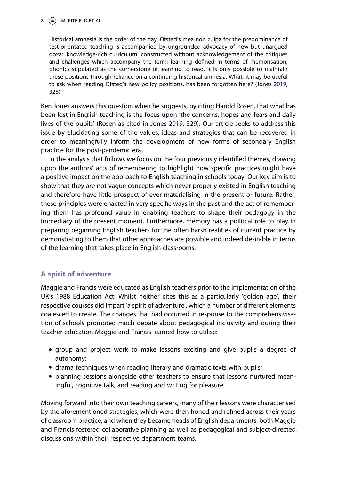#### $8 \quad \circledast$  M. PITFIELD ET AL.

Historical amnesia is the order of the day. Ofsted's mea non culpa for the predominance of test-orientated teaching is accompanied by ungrounded advocacy of new but unargued doxa: 'knowledge-rich curriculum' constructed without acknowledgement of the critiques and challenges which accompany the term; learning defined in terms of memorisation; phonics stipulated as the cornerstone of learning to read. It is only possible to maintain these positions through reliance on a continuing historical amnesia. What, it may be useful to ask when reading Ofsted's new policy positions, has been forgotten here? (Jones [2019](#page-18-12), 328)

Ken Jones answers this question when he suggests, by citing Harold Rosen, that what has been lost in English teaching is the focus upon 'the concerns, hopes and fears and daily lives of the pupils' (Rosen as cited in Jones [2019,](#page-18-12) 329). Our article seeks to address this issue by elucidating some of the values, ideas and strategies that can be recovered in order to meaningfully inform the development of new forms of secondary English practice for the post-pandemic era.

In the analysis that follows we focus on the four previously identified themes, drawing upon the authors' acts of remembering to highlight how specific practices might have a positive impact on the approach to English teaching in schools today. Our key aim is to show that they are not vague concepts which never properly existed in English teaching and therefore have little prospect of ever materialising in the present or future. Rather, these principles were enacted in very specific ways in the past and the act of remembering them has profound value in enabling teachers to shape their pedagogy in the immediacy of the present moment. Furthermore, memory has a political role to play in preparing beginning English teachers for the often harsh realities of current practice by demonstrating to them that other approaches are possible and indeed desirable in terms of the learning that takes place in English classrooms.

## **A spirit of adventure**

Maggie and Francis were educated as English teachers prior to the implementation of the UK's 1988 Education Act. Whilst neither cites this as a particularly 'golden age', their respective courses did impart 'a spirit of adventure', which a number of different elements coalesced to create. The changes that had occurred in response to the comprehensivisation of schools prompted much debate about pedagogical inclusivity and during their teacher education Maggie and Francis learned how to utilise:

- group and project work to make lessons exciting and give pupils a degree of autonomy;
- drama techniques when reading literary and dramatic texts with pupils;
- planning sessions alongside other teachers to ensure that lessons nurtured meaningful, cognitive talk, and reading and writing for pleasure.

Moving forward into their own teaching careers, many of their lessons were characterised by the aforementioned strategies, which were then honed and refined across their years of classroom practice; and when they became heads of English departments, both Maggie and Francis fostered collaborative planning as well as pedagogical and subject-directed discussions within their respective department teams.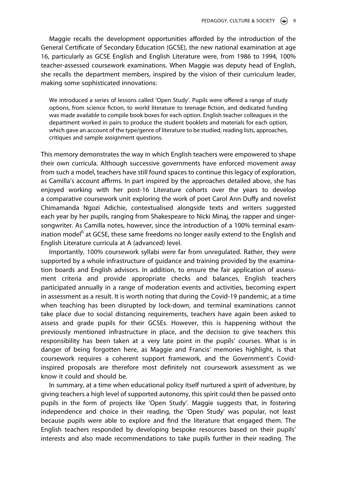Maggie recalls the development opportunities afforded by the introduction of the General Certificate of Secondary Education (GCSE), the new national examination at age 16, particularly as GCSE English and English Literature were, from 1986 to 1994, 100% teacher-assessed coursework examinations. When Maggie was deputy head of English, she recalls the department members, inspired by the vision of their curriculum leader, making some sophisticated innovations:

We introduced a series of lessons called 'Open Study'. Pupils were offered a range of study options, from science fiction, to world literature to teenage fiction, and dedicated funding was made available to compile book boxes for each option. English teacher colleagues in the department worked in pairs to produce the student booklets and materials for each option, which gave an account of the type/genre of literature to be studied, reading lists, approaches, critiques and sample assignment questions.

This memory demonstrates the way in which English teachers were empowered to shape their own curricula. Although successive governments have enforced movement away from such a model, teachers have still found spaces to continue this legacy of exploration, as Camilla's account affirms. In part inspired by the approaches detailed above, she has enjoyed working with her post-16 Literature cohorts over the years to develop a comparative coursework unit exploring the work of poet Carol Ann Duffy and novelist Chimamanda Ngozi Adichie, contextualised alongside texts and writers suggested each year by her pupils, ranging from Shakespeare to Nicki Minaj, the rapper and singersongwriter. As Camilla notes, however, since the introduction of a 100% terminal examination model<sup>6</sup> at GCSE, these same freedoms no longer easily extend to the English and English Literature curricula at A (advanced) level.

Importantly, 100% coursework syllabi were far from unregulated. Rather, they were supported by a whole infrastructure of guidance and training provided by the examination boards and English advisors. In addition, to ensure the fair application of assessment criteria and provide appropriate checks and balances, English teachers participated annually in a range of moderation events and activities, becoming expert in assessment as a result. It is worth noting that during the Covid-19 pandemic, at a time when teaching has been disrupted by lock-down, and terminal examinations cannot take place due to social distancing requirements, teachers have again been asked to assess and grade pupils for their GCSEs. However, this is happening without the previously mentioned infrastructure in place, and the decision to give teachers this responsibility has been taken at a very late point in the pupils' courses. What is in danger of being forgotten here, as Maggie and Francis' memories highlight, is that coursework requires a coherent support framework, and the Government's Covidinspired proposals are therefore most definitely not coursework assessment as we know it could and should be.

In summary, at a time when educational policy itself nurtured a spirit of adventure, by giving teachers a high level of supported autonomy, this spirit could then be passed onto pupils in the form of projects like 'Open Study'. Maggie suggests that, in fostering independence and choice in their reading, the 'Open Study' was popular, not least because pupils were able to explore and find the literature that engaged them. The English teachers responded by developing bespoke resources based on their pupils' interests and also made recommendations to take pupils further in their reading. The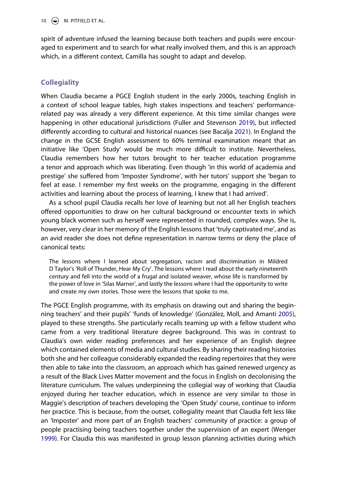10  $\left(\frac{1}{2}\right)$  M. PITFIELD ET AL.

spirit of adventure infused the learning because both teachers and pupils were encouraged to experiment and to search for what really involved them, and this is an approach which, in a different context, Camilla has sought to adapt and develop.

# **Collegiality**

<span id="page-10-0"></span>When Claudia became a PGCE English student in the early 2000s, teaching English in a context of school league tables, high stakes inspections and teachers' performancerelated pay was already a very different experience. At this time similar changes were happening in other educational jurisdictions (Fuller and Stevenson [2019](#page-18-15)), but inflected differently according to cultural and historical nuances (see Bacalja [2021](#page-17-0)). In England the change in the GCSE English assessment to 60% terminal examination meant that an initiative like 'Open Study' would be much more difficult to institute. Nevertheless, Claudia remembers how her tutors brought to her teacher education programme a tenor and approach which was liberating. Even though 'in this world of academia and prestige' she suffered from 'Imposter Syndrome', with her tutors' support she 'began to feel at ease. I remember my first weeks on the programme, engaging in the different activities and learning about the process of learning, I knew that I had arrived'.

As a school pupil Claudia recalls her love of learning but not all her English teachers offered opportunities to draw on her cultural background or encounter texts in which young black women such as herself were represented in rounded, complex ways. She is, however, very clear in her memory of the English lessons that 'truly captivated me', and as an avid reader she does not define representation in narrow terms or deny the place of canonical texts:

The lessons where I learned about segregation, racism and discrimination in Mildred D Taylor's 'Roll of Thunder, Hear My Cry'. The lessons where I read about the early nineteenth century and fell into the world of a frugal and isolated weaver, whose life is transformed by the power of love in 'Silas Marner', and lastly the lessons where I had the opportunity to write and create my own stories. Those were the lessons that spoke to me.

<span id="page-10-1"></span>The PGCE English programme, with its emphasis on drawing out and sharing the beginning teachers' and their pupils' 'funds of knowledge' (González, Moll, and Amanti [2005](#page-18-16)), played to these strengths. She particularly recalls teaming up with a fellow student who came from a very traditional literature degree background. This was in contrast to Claudia's own wider reading preferences and her experience of an English degree which contained elements of media and cultural studies. By sharing their reading histories both she and her colleague considerably expanded the reading repertoires that they were then able to take into the classroom, an approach which has gained renewed urgency as a result of the Black Lives Matter movement and the focus in English on decolonising the literature curriculum. The values underpinning the collegial way of working that Claudia enjoyed during her teacher education, which in essence are very similar to those in Maggie's description of teachers developing the 'Open Study' course, continue to inform her practice. This is because, from the outset, collegiality meant that Claudia felt less like an 'Imposter' and more part of an English teachers' community of practice: a group of people practising being teachers together under the supervision of an expert (Wenger [1999\)](#page-19-5). For Claudia this was manifested in group lesson planning activities during which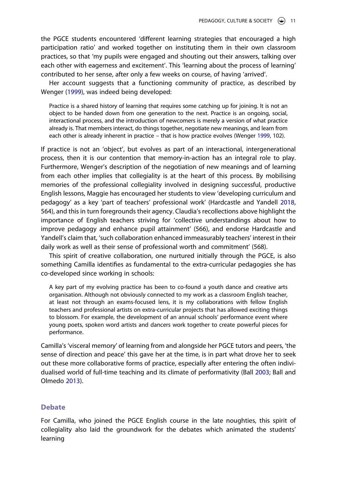the PGCE students encountered 'different learning strategies that encouraged a high participation ratio' and worked together on instituting them in their own classroom practices, so that 'my pupils were engaged and shouting out their answers, talking over each other with eagerness and excitement'. This 'learning about the process of learning' contributed to her sense, after only a few weeks on course, of having 'arrived'.

Her account suggests that a functioning community of practice, as described by Wenger ([1999](#page-19-5)), was indeed being developed:

Practice is a shared history of learning that requires some catching up for joining. It is not an object to be handed down from one generation to the next. Practice is an ongoing, social, interactional process, and the introduction of newcomers is merely a version of what practice already is. That members interact, do things together, negotiate new meanings, and learn from each other is already inherent in practice – that is how practice evolves (Wenger [1999](#page-19-5), 102).

If practice is not an 'object', but evolves as part of an interactional, intergenerational process, then it is our contention that memory-in-action has an integral role to play. Furthermore, Wenger's description of the negotiation of new meanings and of learning from each other implies that collegiality is at the heart of this process. By mobilising memories of the professional collegiality involved in designing successful, productive English lessons, Maggie has encouraged her students to view 'developing curriculum and pedagogy' as a key 'part of teachers' professional work' (Hardcastle and Yandell [2018](#page-18-8), 564), and this in turn foregrounds their agency. Claudia's recollections above highlight the importance of English teachers striving for 'collective understandings about how to improve pedagogy and enhance pupil attainment' (566), and endorse Hardcastle and Yandell's claim that, 'such collaboration enhanced immeasurably teachers' interest in their daily work as well as their sense of professional worth and commitment' (568).

This spirit of creative collaboration, one nurtured initially through the PGCE, is also something Camilla identifies as fundamental to the extra-curricular pedagogies she has co-developed since working in schools:

A key part of my evolving practice has been to co-found a youth dance and creative arts organisation. Although not obviously connected to my work as a classroom English teacher, at least not through an exams-focused lens, it is my collaborations with fellow English teachers and professional artists on extra-curricular projects that has allowed exciting things to blossom. For example, the development of an annual schools' performance event where young poets, spoken word artists and dancers work together to create powerful pieces for performance.

<span id="page-11-0"></span>Camilla's 'visceral memory' of learning from and alongside her PGCE tutors and peers, 'the sense of direction and peace' this gave her at the time, is in part what drove her to seek out these more collaborative forms of practice, especially after entering the often individualised world of full-time teaching and its climate of performativity (Ball [2003](#page-17-12); Ball and Olmedo [2013](#page-17-13)).

#### <span id="page-11-1"></span>**Debate**

For Camilla, who joined the PGCE English course in the late noughties, this spirit of collegiality also laid the groundwork for the debates which animated the students' learning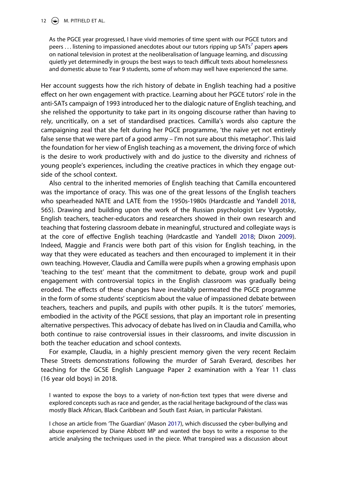#### 12  $\left(\frac{1}{2}\right)$  M. PITFIELD ET AL.

As the PGCE year progressed, I have vivid memories of time spent with our PGCE tutors and peers . . . listening to impassioned anecdotes about our tutors ripping up SATs<sup>7</sup> papers apers on national television in protest at the neoliberalisation of language learning, and discussing quietly yet determinedly in groups the best ways to teach difficult texts about homelessness and domestic abuse to Year 9 students, some of whom may well have experienced the same.

Her account suggests how the rich history of debate in English teaching had a positive effect on her own engagement with practice. Learning about her PGCE tutors' role in the anti-SATs campaign of 1993 introduced her to the dialogic nature of English teaching, and she relished the opportunity to take part in its ongoing discourse rather than having to rely, uncritically, on a set of standardised practices. Camilla's words also capture the campaigning zeal that she felt during her PGCE programme, 'the naïve yet not entirely false sense that we were part of a good army – I'm not sure about this metaphor'. This laid the foundation for her view of English teaching as a movement, the driving force of which is the desire to work productively with and do justice to the diversity and richness of young people's experiences, including the creative practices in which they engage outside of the school context.

<span id="page-12-0"></span>Also central to the inherited memories of English teaching that Camilla encountered was the importance of oracy. This was one of the great lessons of the English teachers who spearheaded NATE and LATE from the 1950s-1980s (Hardcastle and Yandell [2018](#page-18-8), 565). Drawing and building upon the work of the Russian psychologist Lev Vygotsky, English teachers, teacher-educators and researchers showed in their own research and teaching that fostering classroom debate in meaningful, structured and collegiate ways is at the core of effective English teaching (Hardcastle and Yandell [2018;](#page-18-8) Dixon [2009](#page-17-14)). Indeed, Maggie and Francis were both part of this vision for English teaching, in the way that they were educated as teachers and then encouraged to implement it in their own teaching. However, Claudia and Camilla were pupils when a growing emphasis upon 'teaching to the test' meant that the commitment to debate, group work and pupil engagement with controversial topics in the English classroom was gradually being eroded. The effects of these changes have inevitably permeated the PGCE programme in the form of some students' scepticism about the value of impassioned debate between teachers, teachers and pupils, and pupils with other pupils. It is the tutors' memories, embodied in the activity of the PGCE sessions, that play an important role in presenting alternative perspectives. This advocacy of debate has lived on in Claudia and Camilla, who both continue to raise controversial issues in their classrooms, and invite discussion in both the teacher education and school contexts.

For example, Claudia, in a highly prescient memory given the very recent Reclaim These Streets demonstrations following the murder of Sarah Everard, describes her teaching for the GCSE English Language Paper 2 examination with a Year 11 class (16 year old boys) in 2018.

I wanted to expose the boys to a variety of non-fiction text types that were diverse and explored concepts such as race and gender, as the racial heritage background of the class was mostly Black African, Black Caribbean and South East Asian, in particular Pakistani.

<span id="page-12-1"></span>I chose an article from 'The Guardian' (Mason [2017](#page-18-17)), which discussed the cyber-bullying and abuse experienced by Diane Abbott MP and wanted the boys to write a response to the article analysing the techniques used in the piece. What transpired was a discussion about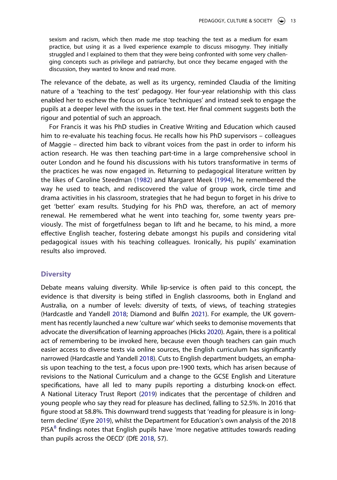sexism and racism, which then made me stop teaching the text as a medium for exam practice, but using it as a lived experience example to discuss misogyny. They initially struggled and I explained to them that they were being confronted with some very challenging concepts such as privilege and patriarchy, but once they became engaged with the discussion, they wanted to know and read more.

The relevance of the debate, as well as its urgency, reminded Claudia of the limiting nature of a 'teaching to the test' pedagogy. Her four-year relationship with this class enabled her to eschew the focus on surface 'techniques' and instead seek to engage the pupils at a deeper level with the issues in the text. Her final comment suggests both the rigour and potential of such an approach.

<span id="page-13-3"></span>For Francis it was his PhD studies in Creative Writing and Education which caused him to re-evaluate his teaching focus. He recalls how his PhD supervisors – colleagues of Maggie – directed him back to vibrant voices from the past in order to inform his action research. He was then teaching part-time in a large comprehensive school in outer London and he found his discussions with his tutors transformative in terms of the practices he was now engaged in. Returning to pedagogical literature written by the likes of Caroline Steedman [\(1982](#page-19-11)) and Margaret Meek [\(1994](#page-19-12)), he remembered the way he used to teach, and rediscovered the value of group work, circle time and drama activities in his classroom, strategies that he had begun to forget in his drive to get 'better' exam results. Studying for his PhD was, therefore, an act of memory renewal. He remembered what he went into teaching for, some twenty years previously. The mist of forgetfulness began to lift and he became, to his mind, a more effective English teacher, fostering debate amongst his pupils and considering vital pedagogical issues with his teaching colleagues. Ironically, his pupils' examination results also improved.

#### **Diversity**

<span id="page-13-4"></span><span id="page-13-2"></span><span id="page-13-1"></span><span id="page-13-0"></span>Debate means valuing diversity. While lip-service is often paid to this concept, the evidence is that diversity is being stifled in English classrooms, both in England and Australia, on a number of levels: diversity of texts, of views, of teaching strategies (Hardcastle and Yandell [2018](#page-18-8); Diamond and Bulfin [2021\)](#page-17-2). For example, the UK government has recently launched a new 'culture war' which seeks to demonise movements that advocate the diversification of learning approaches (Hicks [2020\)](#page-18-18). Again, there is a political act of remembering to be invoked here, because even though teachers can gain much easier access to diverse texts via online sources, the English curriculum has significantly narrowed (Hardcastle and Yandell [2018\)](#page-18-8). Cuts to English department budgets, an emphasis upon teaching to the test, a focus upon pre-1900 texts, which has arisen because of revisions to the National Curriculum and a change to the GCSE English and Literature specifications, have all led to many pupils reporting a disturbing knock-on effect. A National Literacy Trust Report ([2019](#page-19-13)) indicates that the percentage of children and young people who say they read for pleasure has declined, falling to 52.5%. In 2016 that figure stood at 58.8%. This downward trend suggests that 'reading for pleasure is in longterm decline' (Eyre [2019\)](#page-18-19), whilst the Department for Education's own analysis of the 2018  $PISA<sup>8</sup>$  findings notes that English pupils have 'more negative attitudes towards reading than pupils across the OECD' (DfE [2018,](#page-17-16) 57).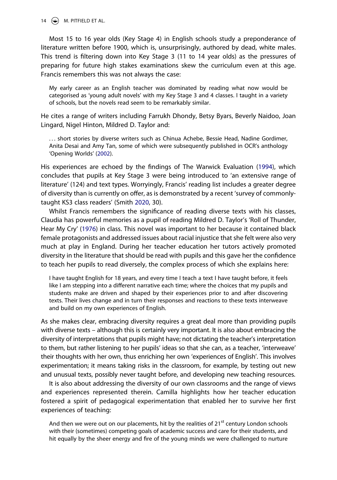14  $\bigcirc$  M. PITFIELD ET AL.

Most 15 to 16 year olds (Key Stage 4) in English schools study a preponderance of literature written before 1900, which is, unsurprisingly, authored by dead, white males. This trend is filtering down into Key Stage 3 (11 to 14 year olds) as the pressures of preparing for future high stakes examinations skew the curriculum even at this age. Francis remembers this was not always the case:

My early career as an English teacher was dominated by reading what now would be categorised as 'young adult novels' with my Key Stage 3 and 4 classes. I taught in a variety of schools, but the novels read seem to be remarkably similar.

He cites a range of writers including Farrukh Dhondy, Betsy Byars, Beverly Naidoo, Joan Lingard, Nigel Hinton, Mildred D. Taylor and:

<span id="page-14-0"></span>... short stories by diverse writers such as Chinua Achebe, Bessie Head, Nadine Gordimer, Anita Desai and Amy Tan, some of which were subsequently published in OCR's anthology 'Opening Worlds' ([2002\)](#page-19-14).

<span id="page-14-3"></span>His experiences are echoed by the findings of The Warwick Evaluation [\(1994\)](#page-19-15), which concludes that pupils at Key Stage 3 were being introduced to 'an extensive range of literature' (124) and text types. Worryingly, Francis' reading list includes a greater degree of diversity than is currently on offer, as is demonstrated by a recent 'survey of commonlytaught KS3 class readers' (Smith [2020](#page-19-16), 30).

<span id="page-14-2"></span><span id="page-14-1"></span>Whilst Francis remembers the significance of reading diverse texts with his classes, Claudia has powerful memories as a pupil of reading Mildred D. Taylor's 'Roll of Thunder, Hear My Cry' ([1976](#page-19-17)) in class. This novel was important to her because it contained black female protagonists and addressed issues about racial injustice that she felt were also very much at play in England. During her teacher education her tutors actively promoted diversity in the literature that should be read with pupils and this gave her the confidence to teach her pupils to read diversely, the complex process of which she explains here:

I have taught English for 18 years, and every time I teach a text I have taught before, it feels like I am stepping into a different narrative each time; where the choices that my pupils and students make are driven and shaped by their experiences prior to and after discovering texts. Their lives change and in turn their responses and reactions to these texts interweave and build on my own experiences of English.

As she makes clear, embracing diversity requires a great deal more than providing pupils with diverse texts – although this is certainly very important. It is also about embracing the diversity of interpretations that pupils might have; not dictating the teacher's interpretation to them, but rather listening to her pupils' ideas so that she can, as a teacher, 'interweave' their thoughts with her own, thus enriching her own 'experiences of English'. This involves experimentation; it means taking risks in the classroom, for example, by testing out new and unusual texts, possibly never taught before, and developing new teaching resources.

It is also about addressing the diversity of our own classrooms and the range of views and experiences represented therein. Camilla highlights how her teacher education fostered a spirit of pedagogical experimentation that enabled her to survive her first experiences of teaching:

And then we were out on our placements, hit by the realities of  $21<sup>st</sup>$  century London schools with their (sometimes) competing goals of academic success and care for their students, and hit equally by the sheer energy and fire of the young minds we were challenged to nurture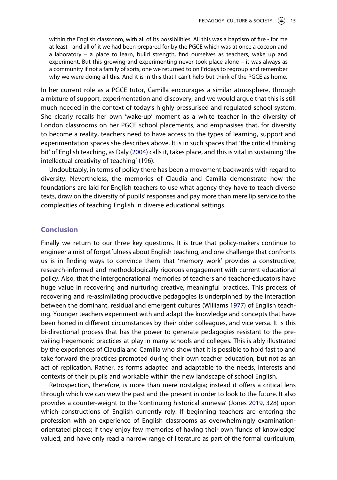within the English classroom, with all of its possibilities. All this was a baptism of fire - for me at least - and all of it we had been prepared for by the PGCE which was at once a cocoon and a laboratory – a place to learn, build strength, find ourselves as teachers, wake up and experiment. But this growing and experimenting never took place alone – it was always as a community if not a family of sorts, one we returned to on Fridays to regroup and remember why we were doing all this. And it is in this that I can't help but think of the PGCE as home.

In her current role as a PGCE tutor, Camilla encourages a similar atmosphere, through a mixture of support, experimentation and discovery, and we would argue that this is still much needed in the context of today's highly pressurised and regulated school system. She clearly recalls her own 'wake-up' moment as a white teacher in the diversity of London classrooms on her PGCE school placements, and emphasises that, for diversity to become a reality, teachers need to have access to the types of learning, support and experimentation spaces she describes above. It is in such spaces that 'the critical thinking bit' of English teaching, as Daly [\(2004\)](#page-17-17) calls it, takes place, and this is vital in sustaining 'the intellectual creativity of teaching' (196).

<span id="page-15-0"></span>Undoubtably, in terms of policy there has been a movement backwards with regard to diversity. Nevertheless, the memories of Claudia and Camilla demonstrate how the foundations are laid for English teachers to use what agency they have to teach diverse texts, draw on the diversity of pupils' responses and pay more than mere lip service to the complexities of teaching English in diverse educational settings.

#### **Conclusion**

Finally we return to our three key questions. It is true that policy-makers continue to engineer a mist of forgetfulness about English teaching, and one challenge that confronts us is in finding ways to convince them that 'memory work' provides a constructive, research-informed and methodologically rigorous engagement with current educational policy. Also, that the intergenerational memories of teachers and teacher-educators have huge value in recovering and nurturing creative, meaningful practices. This process of recovering and re-assimilating productive pedagogies is underpinned by the interaction between the dominant, residual and emergent cultures (Williams [1977](#page-19-9)) of English teaching. Younger teachers experiment with and adapt the knowledge and concepts that have been honed in different circumstances by their older colleagues, and vice versa. It is this bi-directional process that has the power to generate pedagogies resistant to the prevailing hegemonic practices at play in many schools and colleges. This is ably illustrated by the experiences of Claudia and Camilla who show that it is possible to hold fast to and take forward the practices promoted during their own teacher education, but not as an act of replication. Rather, as forms adapted and adaptable to the needs, interests and contexts of their pupils and workable within the new landscape of school English.

Retrospection, therefore, is more than mere nostalgia; instead it offers a critical lens through which we can view the past and the present in order to look to the future. It also provides a counter-weight to the 'continuing historical amnesia' (Jones [2019,](#page-18-12) 328) upon which constructions of English currently rely. If beginning teachers are entering the profession with an experience of English classrooms as overwhelmingly examinationorientated places; if they enjoy few memories of having their own 'funds of knowledge' valued, and have only read a narrow range of literature as part of the formal curriculum,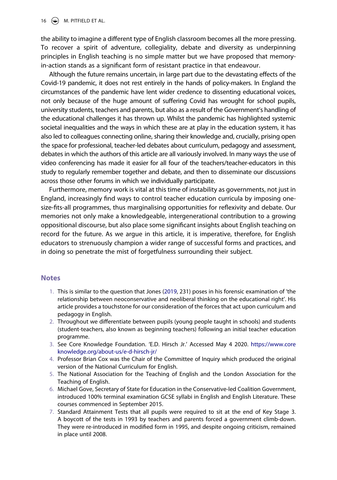16  $\bigcirc$  M. PITFIELD ET AL.

the ability to imagine a different type of English classroom becomes all the more pressing. To recover a spirit of adventure, collegiality, debate and diversity as underpinning principles in English teaching is no simple matter but we have proposed that memoryin-action stands as a significant form of resistant practice in that endeavour.

Although the future remains uncertain, in large part due to the devastating effects of the Covid-19 pandemic, it does not rest entirely in the hands of policy-makers. In England the circumstances of the pandemic have lent wider credence to dissenting educational voices, not only because of the huge amount of suffering Covid has wrought for school pupils, university students, teachers and parents, but also as a result of the Government's handling of the educational challenges it has thrown up. Whilst the pandemic has highlighted systemic societal inequalities and the ways in which these are at play in the education system, it has also led to colleagues connecting online, sharing their knowledge and, crucially, prising open the space for professional, teacher-led debates about curriculum, pedagogy and assessment, debates in which the authors of this article are all variously involved. In many ways the use of video conferencing has made it easier for all four of the teachers/teacher-educators in this study to regularly remember together and debate, and then to disseminate our discussions across those other forums in which we individually participate.

Furthermore, memory work is vital at this time of instability as governments, not just in England, increasingly find ways to control teacher education curricula by imposing onesize-fits-all programmes, thus marginalising opportunities for reflexivity and debate. Our memories not only make a knowledgeable, intergenerational contribution to a growing oppositional discourse, but also place some significant insights about English teaching on record for the future. As we argue in this article, it is imperative, therefore, for English educators to strenuously champion a wider range of successful forms and practices, and in doing so penetrate the mist of forgetfulness surrounding their subject.

#### **Notes**

- <span id="page-16-0"></span>1. This is similar to the question that Jones [\(2019,](#page-18-12) 231) poses in his forensic examination of 'the relationship between neoconservative and neoliberal thinking on the educational right'. His article provides a touchstone for our consideration of the forces that act upon curriculum and pedagogy in English.
- <span id="page-16-1"></span>2. Throughout we differentiate between pupils (young people taught in schools) and students (student-teachers, also known as beginning teachers) following an initial teacher education programme.
- <span id="page-16-2"></span>3. See Core Knowledge Foundation. 'E.D. Hirsch Jr.' Accessed May 4 2020. [https://www.core](https://www.coreknowledge.org/about-us/e-d-hirsch-jr/) [knowledge.org/about-us/e-d-hirsch-jr/](https://www.coreknowledge.org/about-us/e-d-hirsch-jr/)
- <span id="page-16-3"></span>4. Professor Brian Cox was the Chair of the Committee of Inquiry which produced the original version of the National Curriculum for English.
- <span id="page-16-4"></span>5. The National Association for the Teaching of English and the London Association for the Teaching of English.
- <span id="page-16-5"></span>6. Michael Gove, Secretary of State for Education in the Conservative-led Coalition Government, introduced 100% terminal examination GCSE syllabi in English and English Literature. These courses commenced in September 2015.
- <span id="page-16-6"></span>7. Standard Attainment Tests that all pupils were required to sit at the end of Key Stage 3. A boycott of the tests in 1993 by teachers and parents forced a government climb-down. They were re-introduced in modified form in 1995, and despite ongoing criticism, remained in place until 2008.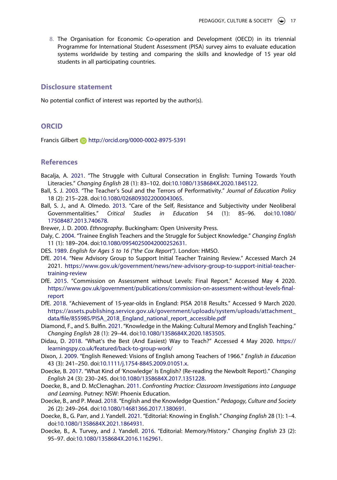<span id="page-17-15"></span>8. The Organisation for Economic Co-operation and Development (OECD) in its triennial Programme for International Student Assessment (PISA) survey aims to evaluate education systems worldwide by testing and comparing the skills and knowledge of 15 year old students in all participating countries.

#### **Disclosure statement**

No potential conflict of interest was reported by the author(s).

#### **ORCID**

Francis Gilbert http://orcid.org/0000-0002-8975-5391

## **References**

- <span id="page-17-0"></span>Bacalja, A. [2021.](#page-2-0) "The Struggle with Cultural Consecration in English: Turning Towards Youth Literacies." *Changing English* 28 (1): 83–102. doi:[10.1080/1358684X.2020.1845122](https://doi.org/10.1080/1358684X.2020.1845122).
- <span id="page-17-12"></span>Ball, S. J. [2003](#page-11-0). "The Teacher's Soul and the Terrors of Performativity." *Journal of Education Policy*  18 (2): 215–228. doi:[10.1080/0268093022000043065.](https://doi.org/10.1080/0268093022000043065)
- <span id="page-17-13"></span>Ball, S. J., and A. Olmedo. [2013](#page-11-1). "Care of the Self, Resistance and Subjectivity under Neoliberal Governmentalities." *Critical Studies in Education* 54 (1): 85–96. doi:[10.1080/](https://doi.org/10.1080/17508487.2013.740678) [17508487.2013.740678.](https://doi.org/10.1080/17508487.2013.740678)
- <span id="page-17-3"></span>Brewer, J. D. [2000](#page-3-0). *Ethnography*. Buckingham: Open University Press.
- <span id="page-17-17"></span>Daly, C. [2004.](#page-15-0) "Trainee English Teachers and the Struggle for Subject Knowledge." *Changing English*  11 (1): 189–204. doi:[10.1080/09540250042000252631](https://doi.org/10.1080/09540250042000252631).
- <span id="page-17-4"></span>DES. [1989.](#page-4-0) *English for Ages 5 to 16 ("the Cox Report")*. London: HMSO.
- <span id="page-17-10"></span>DfE. [2014.](#page-7-0) "New Advisory Group to Support Initial Teacher Training Review." Accessed March 24 2021. [https://www.gov.uk/government/news/new-advisory-group-to-support-initial-teacher](https://www.gov.uk/government/news/new-advisory-group-to-support-initial-teacher-training-review)[training-review](https://www.gov.uk/government/news/new-advisory-group-to-support-initial-teacher-training-review)
- <span id="page-17-9"></span>DfE. [2015](#page-7-0). "Commission on Assessment without Levels: Final Report." Accessed May 4 2020. [https://www.gov.uk/government/publications/commission-on-assessment-without-levels-final](https://www.gov.uk/government/publications/commission-on-assessment-without-levels-final-report)[report](https://www.gov.uk/government/publications/commission-on-assessment-without-levels-final-report)
- <span id="page-17-16"></span>DfE. [2018](#page-13-0). "Achievement of 15-year-olds in England: PISA 2018 Results." Accessed 9 March 2020. [https://assets.publishing.service.gov.uk/government/uploads/system/uploads/attachment\\_](https://assets.publishing.service.gov.uk/government/uploads/system/uploads/attachment_data/file/855985/PISA_2018_England_national_report_accessible.pdf) [data/file/855985/PISA\\_2018\\_England\\_national\\_report\\_accessible.pdf](https://assets.publishing.service.gov.uk/government/uploads/system/uploads/attachment_data/file/855985/PISA_2018_England_national_report_accessible.pdf)
- <span id="page-17-2"></span>Diamond, F., and S. Bulfin. [2021.](#page-2-1) "Knowledge in the Making: Cultural Memory and English Teaching." *Changing English* 28 (1): 29–44. doi:[10.1080/1358684X.2020.1853505.](https://doi.org/10.1080/1358684X.2020.1853505)
- <span id="page-17-11"></span>Didau, D. [2018.](#page-7-0) "What's the Best (And Easiest) Way to Teach?" Accessed 4 May 2020. [https://](https://learningspy.co.uk/featured/back-to-group-work/) [learningspy.co.uk/featured/back-to-group-work/](https://learningspy.co.uk/featured/back-to-group-work/)
- <span id="page-17-14"></span>Dixon, J. [2009.](#page-12-0) "English Renewed: Visions of English among Teachers of 1966." *English in Education*  43 (3): 241–250. doi:[10.1111/j.1754-8845.2009.01051.x](https://doi.org/10.1111/j.1754-8845.2009.01051.x).
- <span id="page-17-5"></span>Doecke, B. [2017.](#page-5-0) "What Kind of 'Knowledge' Is English? (Re-reading the Newbolt Report)." *Changing English* 24 (3): 230–245. doi:[10.1080/1358684X.2017.1351228.](https://doi.org/10.1080/1358684X.2017.1351228)
- <span id="page-17-1"></span>Doecke, B., and D. McClenaghan. [2011](#page-2-1). *Confronting Practice: Classroom Investigations into Language and Learning*. Putney: NSW: Phoenix Education.
- <span id="page-17-6"></span>Doecke, B., and P. Mead. [2018.](#page-5-1) "English and the Knowledge Question." *Pedagogy, Culture and Society*  26 (2): 249–264. doi:[10.1080/14681366.2017.1380691.](https://doi.org/10.1080/14681366.2017.1380691)
- <span id="page-17-7"></span>Doecke, B., G. Parr, and J. Yandell. [2021.](#page-5-1) "Editorial: Knowing in English." *Changing English* 28 (1): 1–4. doi:[10.1080/1358684X.2021.1864931.](https://doi.org/10.1080/1358684X.2021.1864931)
- <span id="page-17-8"></span>Doecke, B., A. Turvey, and J. Yandell. [2016.](#page-5-2) "Editorial: Memory/History." *Changing English* 23 (2): 95–97. doi:[10.1080/1358684X.2016.1162961.](https://doi.org/10.1080/1358684X.2016.1162961)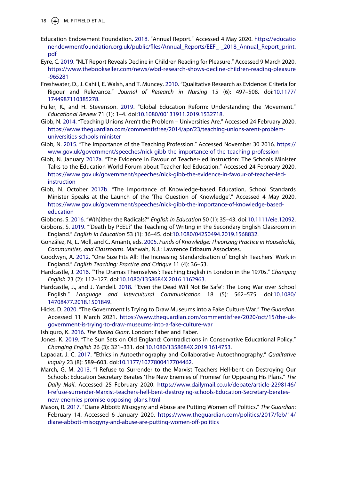18  $\bigoplus$  M. PITFIELD ET AL.

- <span id="page-18-14"></span>Education Endowment Foundation. [2018.](#page-7-1) "Annual Report." Accessed 4 May 2020. [https://educatio](https://educationendowmentfoundation.org.uk/public/files/Annual_Reports/EEF_-_2018_Annual_Report_print.pdf) [nendowmentfoundation.org.uk/public/files/Annual\\_Reports/EEF\\_-\\_2018\\_Annual\\_Report\\_print.](https://educationendowmentfoundation.org.uk/public/files/Annual_Reports/EEF_-_2018_Annual_Report_print.pdf) [pdf](https://educationendowmentfoundation.org.uk/public/files/Annual_Reports/EEF_-_2018_Annual_Report_print.pdf)
- <span id="page-18-19"></span>Eyre, C. [2019](#page-13-1). "NLT Report Reveals Decline in Children Reading for Pleasure." Accessed 9 March 2020. [https://www.thebookseller.com/news/wbd-research-shows-decline-children-reading-pleasure](https://www.thebookseller.com/news/wbd-research-shows-decline-children-reading-pleasure-965281) [-965281](https://www.thebookseller.com/news/wbd-research-shows-decline-children-reading-pleasure-965281)
- <span id="page-18-1"></span>Freshwater, D., J. Cahill, E. Walsh, and T. Muncey. [2010.](#page-3-1) "Qualitative Research as Evidence: Criteria for Rigour and Relevance." *Journal of Research in Nursing* 15 (6): 497–508. doi:[10.1177/](https://doi.org/10.1177/1744987110385278) [1744987110385278.](https://doi.org/10.1177/1744987110385278)
- <span id="page-18-15"></span>Fuller, K., and H. Stevenson. [2019](#page-10-0). "Global Education Reform: Understanding the Movement." *Educational Review* 71 (1): 1–4. doi:[10.1080/00131911.2019.1532718.](https://doi.org/10.1080/00131911.2019.1532718)
- <span id="page-18-7"></span>Gibb, N. [2014.](#page-5-3) "Teaching Unions Aren't the Problem – Universities Are." Accessed 24 February 2020. [https://www.theguardian.com/commentisfree/2014/apr/23/teaching-unions-arent-problem](https://www.theguardian.com/commentisfree/2014/apr/23/teaching-unions-arent-problem-universities-schools-minister)[universities-schools-minister](https://www.theguardian.com/commentisfree/2014/apr/23/teaching-unions-arent-problem-universities-schools-minister)
- <span id="page-18-13"></span>Gibb, N. [2015.](#page-7-2) "The Importance of the Teaching Profession." Accessed November 30 2016. [https://](https://www.gov.uk/government/speeches/nick-gibb-the-importance-of-the-teaching-profession) [www.gov.uk/government/speeches/nick-gibb-the-importance-of-the-teaching-profession](https://www.gov.uk/government/speeches/nick-gibb-the-importance-of-the-teaching-profession)
- <span id="page-18-4"></span>Gibb, N. January [2017a.](#page-5-4) "The Evidence in Favour of Teacher-led Instruction: The Schools Minister Talks to the Education World Forum about Teacher-led Education." Accessed 24 February 2020. [https://www.gov.uk/government/speeches/nick-gibb-the-evidence-in-favour-of-teacher-led](https://www.gov.uk/government/speeches/nick-gibb-the-evidence-in-favour-of-teacher-led-instruction)[instruction](https://www.gov.uk/government/speeches/nick-gibb-the-evidence-in-favour-of-teacher-led-instruction)
- <span id="page-18-5"></span>Gibb, N. October [2017b](#page-5-5). "The Importance of Knowledge-based Education, School Standards Minister Speaks at the Launch of the 'The Question of Knowledge'." Accessed 4 May 2020. [https://www.gov.uk/government/speeches/nick-gibb-the-importance-of-knowledge-based](https://www.gov.uk/government/speeches/nick-gibb-the-importance-of-knowledge-based-education)[education](https://www.gov.uk/government/speeches/nick-gibb-the-importance-of-knowledge-based-education)
- <span id="page-18-10"></span>Gibbons, S. [2016](#page-6-0). "W(h)ither the Radicals?" *English in Education* 50 (1): 35–43. doi:[10.1111/eie.12092](https://doi.org/10.1111/eie.12092).
- <span id="page-18-11"></span>Gibbons, S. [2019](#page-6-1). "'Death by PEEL?' the Teaching of Writing in the Secondary English Classroom in England." *English in Education* 53 (1): 36–45. doi:[10.1080/04250494.2019.1568832.](https://doi.org/10.1080/04250494.2019.1568832)
- <span id="page-18-16"></span>González, N., L. Moll, and C. Amanti, eds. [2005](#page-10-1). *Funds of Knowledge: Theorizing Practice in Households, Communities, and Classrooms*. Mahwah, N.J.: Lawrence Erlbaum Associates.
- <span id="page-18-9"></span>Goodwyn, A. [2012](#page-6-0). "One Size Fits All: The Increasing Standardisation of English Teachers' Work in England." *English Teaching: Practice and Critique* 11 (4): 36–53.
- <span id="page-18-3"></span>Hardcastle, J. [2016.](#page-5-6) "'The Dramas Themselves': Teaching English in London in the 1970s." *Changing English* 23 (2): 112–127. doi:[10.1080/1358684X.2016.1162963.](https://doi.org/10.1080/1358684X.2016.1162963)
- <span id="page-18-8"></span>Hardcastle, J., and J. Yandell. [2018.](#page-6-2) "'Even the Dead Will Not Be Safe': The Long War over School English." *Language and Intercultural Communication* 18 (5): 562–575. doi:[10.1080/](https://doi.org/10.1080/14708477.2018.1501849) [14708477.2018.1501849](https://doi.org/10.1080/14708477.2018.1501849).
- <span id="page-18-18"></span>Hicks, D. [2020.](#page-13-2) "The Government Is Trying to Draw Museums into a Fake Culture War." *The Guardian*. Accessed 11 March 2021. [https://www.theguardian.com/commentisfree/2020/oct/15/the-uk](https://www.theguardian.com/commentisfree/2020/oct/15/the-uk-government-is-trying-to-draw-museums-into-a-fake-culture-war)[government-is-trying-to-draw-museums-into-a-fake-culture-war](https://www.theguardian.com/commentisfree/2020/oct/15/the-uk-government-is-trying-to-draw-museums-into-a-fake-culture-war)
- <span id="page-18-0"></span>Ishiguro, K. [2016.](#page-1-0) *The Buried Giant*. London: Faber and Faber.
- <span id="page-18-12"></span>Jones, K. [2019](#page-6-1). "The Sun Sets on Old England: Contradictions in Conservative Educational Policy." *Changing English* 26 (3): 321–331. doi:[10.1080/1358684X.2019.1614753.](https://doi.org/10.1080/1358684X.2019.1614753)
- <span id="page-18-2"></span>Lapadat, J. C. [2017](#page-3-2). "Ethics in Autoethnography and Collaborative Autoethnography." *Qualitative Inquiry* 23 (8): 589–603. doi:[10.1177/1077800417704462.](https://doi.org/10.1177/1077800417704462)
- <span id="page-18-6"></span>March, G. M. [2013](#page-5-7). "I Refuse to Surrender to the Marxist Teachers Hell-bent on Destroying Our Schools: Education Secretary Berates 'The New Enemies of Promise' for Opposing His Plans." *The Daily Mail*. Accessed 25 February 2020. [https://www.dailymail.co.uk/debate/article-2298146/](https://www.dailymail.co.uk/debate/article-2298146/I-refuse-surrender-Marxist-teachers-hell-bent-destroying-schools-Education-Secretary-berates-new-enemies-promise-opposing-plans.html) [I-refuse-surrender-Marxist-teachers-hell-bent-destroying-schools-Education-Secretary-berates](https://www.dailymail.co.uk/debate/article-2298146/I-refuse-surrender-Marxist-teachers-hell-bent-destroying-schools-Education-Secretary-berates-new-enemies-promise-opposing-plans.html)[new-enemies-promise-opposing-plans.html](https://www.dailymail.co.uk/debate/article-2298146/I-refuse-surrender-Marxist-teachers-hell-bent-destroying-schools-Education-Secretary-berates-new-enemies-promise-opposing-plans.html)
- <span id="page-18-17"></span>Mason, R. [2017.](#page-12-1) "Diane Abbott: Misogyny and Abuse are Putting Women off Politics." *The Guardian*: February 14. Accessed 6 January 2020. [https://www.theguardian.com/politics/2017/feb/14/](https://www.theguardian.com/politics/2017/feb/14/diane-abbott-misogyny-and-abuse-are-putting-women-off-politics) [diane-abbott-misogyny-and-abuse-are-putting-women-off-politics](https://www.theguardian.com/politics/2017/feb/14/diane-abbott-misogyny-and-abuse-are-putting-women-off-politics)